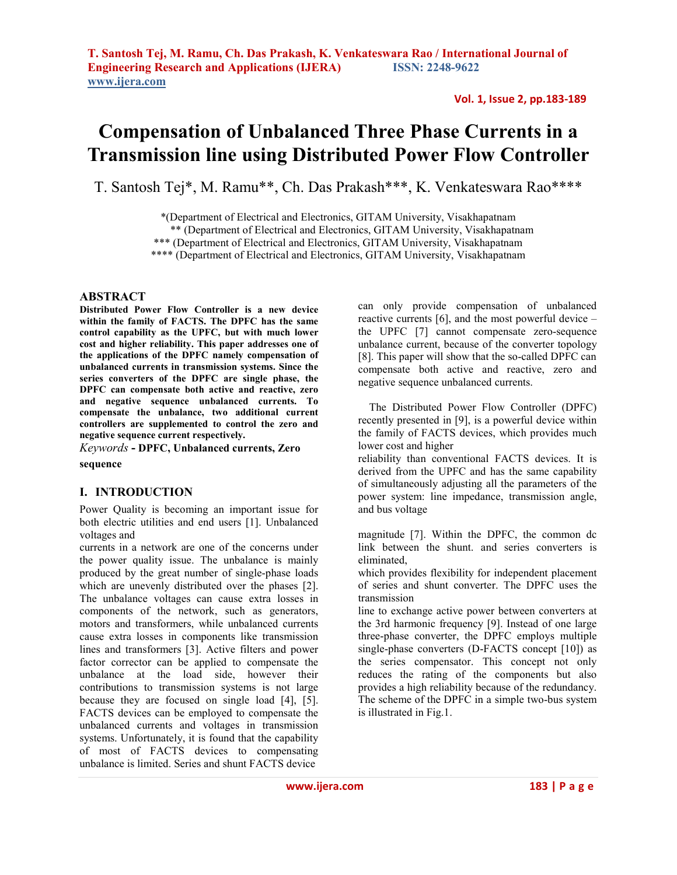# **Compensation of Unbalanced Three Phase Currents in a Transmission line using Distributed Power Flow Controller**

T. Santosh Tej\*, M. Ramu\*\*, Ch. Das Prakash\*\*\*, K. Venkateswara Rao\*\*\*\*

\*(Department of Electrical and Electronics, GITAM University, Visakhapatnam

\*\* (Department of Electrical and Electronics, GITAM University, Visakhapatnam

\*\*\* (Department of Electrical and Electronics, GITAM University, Visakhapatnam

\*\*\*\* (Department of Electrical and Electronics, GITAM University, Visakhapatnam

# **ABSTRACT**

**Distributed Power Flow Controller is a new device within the family of FACTS. The DPFC has the same control capability as the UPFC, but with much lower cost and higher reliability. This paper addresses one of the applications of the DPFC namely compensation of unbalanced currents in transmission systems. Since the series converters of the DPFC are single phase, the DPFC can compensate both active and reactive, zero and negative sequence unbalanced currents. To compensate the unbalance, two additional current controllers are supplemented to control the zero and negative sequence current respectively.**

*Keywords* **- DPFC, Unbalanced currents, Zero** 

**sequence** 

# **I. INTRODUCTION**

Power Quality is becoming an important issue for both electric utilities and end users [1]. Unbalanced voltages and

currents in a network are one of the concerns under the power quality issue. The unbalance is mainly produced by the great number of single-phase loads which are unevenly distributed over the phases [2]. The unbalance voltages can cause extra losses in components of the network, such as generators, motors and transformers, while unbalanced currents cause extra losses in components like transmission lines and transformers [3]. Active filters and power factor corrector can be applied to compensate the unbalance at the load side, however their contributions to transmission systems is not large because they are focused on single load [4], [5]. FACTS devices can be employed to compensate the unbalanced currents and voltages in transmission systems. Unfortunately, it is found that the capability of most of FACTS devices to compensating unbalance is limited. Series and shunt FACTS device

can only provide compensation of unbalanced reactive currents [6], and the most powerful device – the UPFC [7] cannot compensate zero-sequence unbalance current, because of the converter topology [8]. This paper will show that the so-called DPFC can compensate both active and reactive, zero and negative sequence unbalanced currents.

 The Distributed Power Flow Controller (DPFC) recently presented in [9], is a powerful device within the family of FACTS devices, which provides much lower cost and higher

reliability than conventional FACTS devices. It is derived from the UPFC and has the same capability of simultaneously adjusting all the parameters of the power system: line impedance, transmission angle, and bus voltage

magnitude [7]. Within the DPFC, the common dc link between the shunt. and series converters is eliminated,

which provides flexibility for independent placement of series and shunt converter. The DPFC uses the transmission

line to exchange active power between converters at the 3rd harmonic frequency [9]. Instead of one large three-phase converter, the DPFC employs multiple single-phase converters (D-FACTS concept [10]) as the series compensator. This concept not only reduces the rating of the components but also provides a high reliability because of the redundancy. The scheme of the DPFC in a simple two-bus system is illustrated in Fig.1.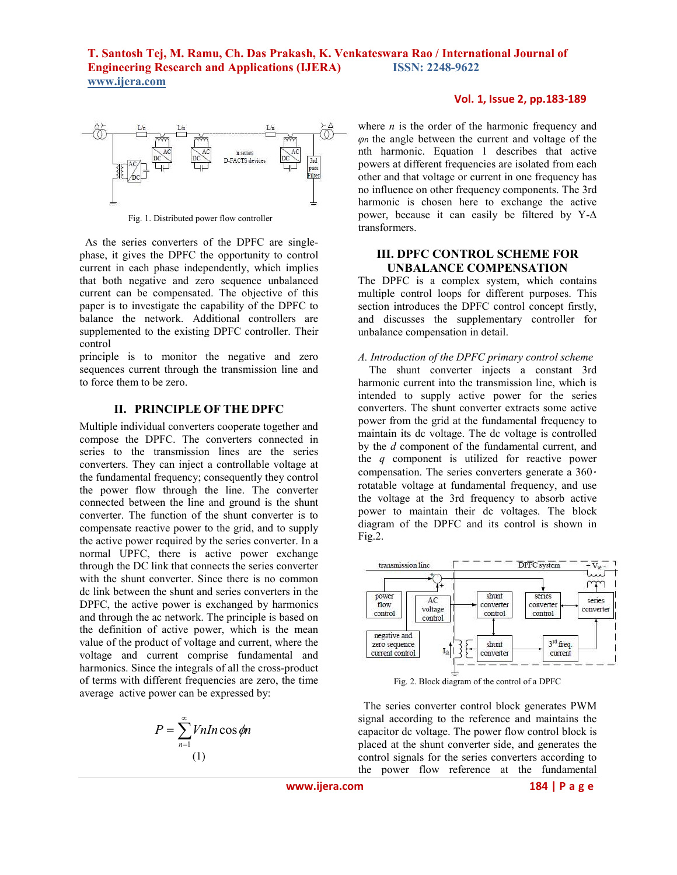

Fig. 1. Distributed power flow controller

 As the series converters of the DPFC are singlephase, it gives the DPFC the opportunity to control current in each phase independently, which implies that both negative and zero sequence unbalanced current can be compensated. The objective of this paper is to investigate the capability of the DPFC to balance the network. Additional controllers are supplemented to the existing DPFC controller. Their control

principle is to monitor the negative and zero sequences current through the transmission line and to force them to be zero.

## **II. PRINCIPLE OF THE DPFC**

Multiple individual converters cooperate together and compose the DPFC. The converters connected in series to the transmission lines are the series converters. They can inject a controllable voltage at the fundamental frequency; consequently they control the power flow through the line. The converter connected between the line and ground is the shunt converter. The function of the shunt converter is to compensate reactive power to the grid, and to supply the active power required by the series converter. In a normal UPFC, there is active power exchange through the DC link that connects the series converter with the shunt converter. Since there is no common dc link between the shunt and series converters in the DPFC, the active power is exchanged by harmonics and through the ac network. The principle is based on the definition of active power, which is the mean value of the product of voltage and current, where the voltage and current comprise fundamental and harmonics. Since the integrals of all the cross-product of terms with different frequencies are zero, the time average active power can be expressed by:

$$
P = \sum_{n=1}^{\infty} VnIn\cos\phi n
$$
  
(1)

## **Vol. 1, Issue 2, pp.183-189**

where  $n$  is the order of the harmonic frequency and *φn* the angle between the current and voltage of the nth harmonic. Equation 1 describes that active powers at different frequencies are isolated from each other and that voltage or current in one frequency has no influence on other frequency components. The 3rd harmonic is chosen here to exchange the active power, because it can easily be filtered by Y-∆ transformers.

## **III. DPFC CONTROL SCHEME FOR UNBALANCE COMPENSATION**

The DPFC is a complex system, which contains multiple control loops for different purposes. This section introduces the DPFC control concept firstly, and discusses the supplementary controller for unbalance compensation in detail.

## *A. Introduction of the DPFC primary control scheme*

 The shunt converter injects a constant 3rd harmonic current into the transmission line, which is intended to supply active power for the series converters. The shunt converter extracts some active power from the grid at the fundamental frequency to maintain its dc voltage. The dc voltage is controlled by the *d* component of the fundamental current, and the *q* component is utilized for reactive power compensation. The series converters generate a 360 rotatable voltage at fundamental frequency, and use the voltage at the 3rd frequency to absorb active power to maintain their dc voltages. The block diagram of the DPFC and its control is shown in  $Fig.2.$ 



Fig. 2. Block diagram of the control of a DPFC

 The series converter control block generates PWM signal according to the reference and maintains the capacitor dc voltage. The power flow control block is placed at the shunt converter side, and generates the control signals for the series converters according to the power flow reference at the fundamental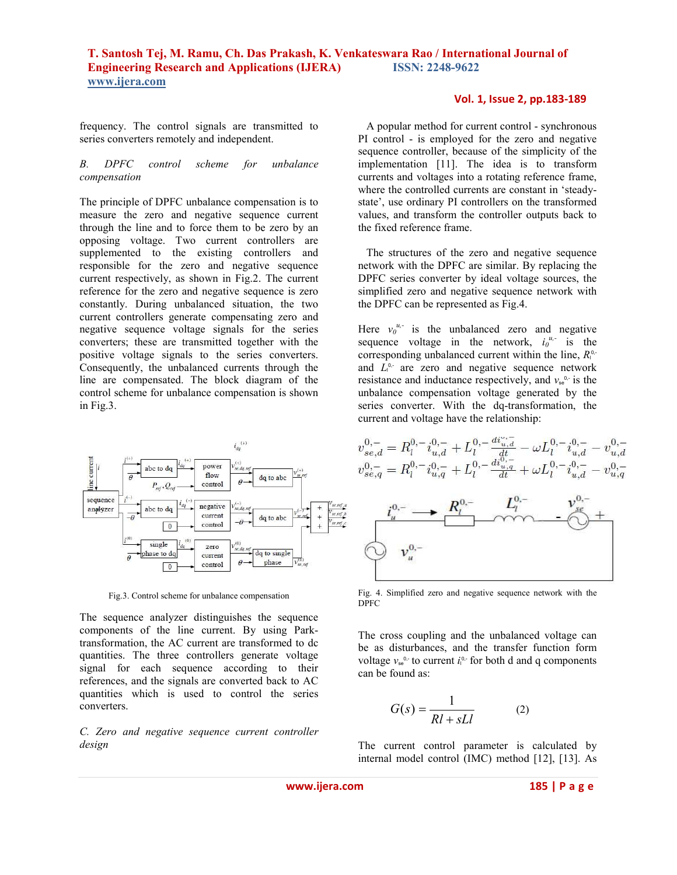frequency. The control signals are transmitted to series converters remotely and independent.

## *B. DPFC control scheme for unbalance compensation*

The principle of DPFC unbalance compensation is to measure the zero and negative sequence current through the line and to force them to be zero by an opposing voltage. Two current controllers are supplemented to the existing controllers and responsible for the zero and negative sequence current respectively, as shown in Fig.2. The current reference for the zero and negative sequence is zero constantly. During unbalanced situation, the two current controllers generate compensating zero and negative sequence voltage signals for the series converters; these are transmitted together with the positive voltage signals to the series converters. Consequently, the unbalanced currents through the line are compensated. The block diagram of the control scheme for unbalance compensation is shown in Fig.3.



Fig.3. Control scheme for unbalance compensation

The sequence analyzer distinguishes the sequence components of the line current. By using Parktransformation, the AC current are transformed to dc quantities. The three controllers generate voltage signal for each sequence according to their references, and the signals are converted back to AC quantities which is used to control the series converters.

*C. Zero and negative sequence current controller design* 

### **Vol. 1, Issue 2, pp.183-189**

 A popular method for current control - synchronous PI control - is employed for the zero and negative sequence controller, because of the simplicity of the implementation [11]. The idea is to transform currents and voltages into a rotating reference frame, where the controlled currents are constant in 'steadystate', use ordinary PI controllers on the transformed values, and transform the controller outputs back to the fixed reference frame.

 The structures of the zero and negative sequence network with the DPFC are similar. By replacing the DPFC series converter by ideal voltage sources, the simplified zero and negative sequence network with the DPFC can be represented as Fig.4.

Here  $v_0^{u,-}$  is the unbalanced zero and negative sequence voltage in the network,  $i_0^{u,-}$  is the corresponding unbalanced current within the line,  $R_{\parallel}^{\alpha}$ . and  $L_1^{\circ}$  are zero and negative sequence network resistance and inductance respectively, and  $v_{\rm se}^{\circ}$  is the unbalance compensation voltage generated by the series converter. With the dq-transformation, the current and voltage have the relationship:



Fig. 4. Simplified zero and negative sequence network with the DPFC

The cross coupling and the unbalanced voltage can be as disturbances, and the transfer function form voltage  $v_{se}^{\circ}$  to current  $i_{\circ}^{\circ}$  for both d and q components can be found as:

$$
G(s) = \frac{1}{Rl + sLl} \tag{2}
$$

The current control parameter is calculated by internal model control (IMC) method [12], [13]. As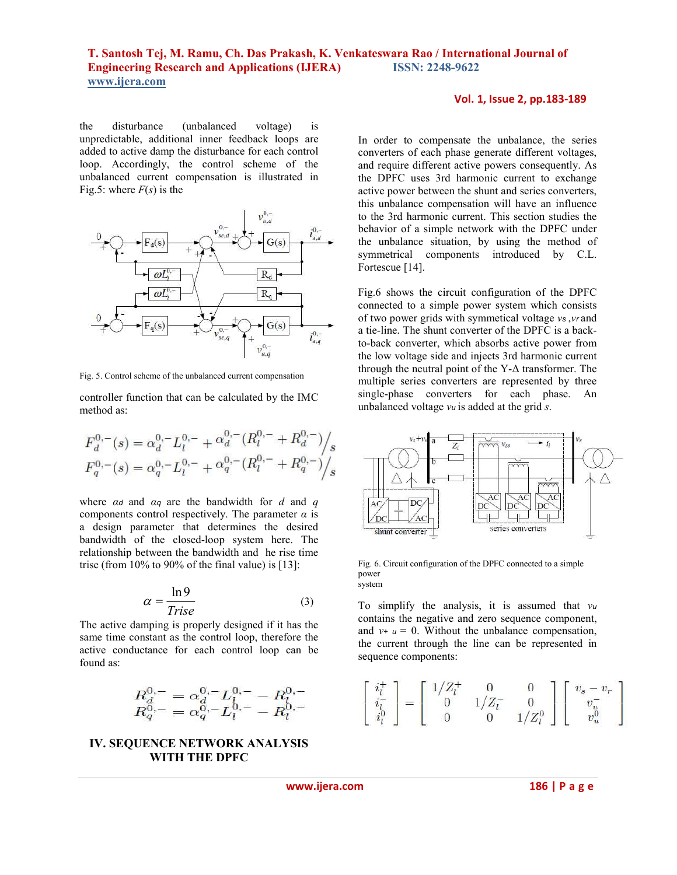the disturbance (unbalanced voltage) is unpredictable, additional inner feedback loops are added to active damp the disturbance for each control loop. Accordingly, the control scheme of the unbalanced current compensation is illustrated in Fig.5: where  $F(s)$  is the



Fig. 5. Control scheme of the unbalanced current compensation

controller function that can be calculated by the IMC method as:

$$
F_d^{0,-}(s) = \alpha_d^{0,-} L_l^{0,-} + \alpha_d^{0,-} (R_l^{0,-} + R_d^{0,-}) / s
$$
  

$$
F_q^{0,-}(s) = \alpha_q^{0,-} L_l^{0,-} + \alpha_q^{0,-} (R_l^{0,-} + R_q^{0,-}) / s
$$

where *αd* and *αq* are the bandwidth for *d* and *q*  components control respectively. The parameter *α* is a design parameter that determines the desired bandwidth of the closed-loop system here. The relationship between the bandwidth and he rise time trise (from  $10\%$  to  $90\%$  of the final value) is [13]:

$$
\alpha = \frac{\ln 9}{\text{Trise}}\tag{3}
$$

The active damping is properly designed if it has the same time constant as the control loop, therefore the active conductance for each control loop can be found as:

$$
\begin{array}{l}R_{d}^{0,-}=\alpha_{d}^{0,-}L_{l}^{0,-}-R_{l}^{0,-}\\ R_{q}^{0,-}=\alpha_{q}^{0,-}L_{l}^{0,-}-R_{l}^{0,-}\end{array}
$$

# **IV. SEQUENCE NETWORK ANALYSIS WITH THE DPFC**

#### **Vol. 1, Issue 2, pp.183-189**

In order to compensate the unbalance, the series converters of each phase generate different voltages, and require different active powers consequently. As the DPFC uses 3rd harmonic current to exchange active power between the shunt and series converters, this unbalance compensation will have an influence to the 3rd harmonic current. This section studies the behavior of a simple network with the DPFC under the unbalance situation, by using the method of symmetrical components introduced by C.L. Fortescue [14].

Fig.6 shows the circuit configuration of the DPFC connected to a simple power system which consists of two power grids with symmetical voltage *vs* ,*vr* and a tie-line. The shunt converter of the DPFC is a backto-back converter, which absorbs active power from the low voltage side and injects 3rd harmonic current through the neutral point of the Y-∆ transformer. The multiple series converters are represented by three single-phase converters for each phase. An unbalanced voltage *vu* is added at the grid *s*.



Fig. 6. Circuit configuration of the DPFC connected to a simple power system

To simplify the analysis, it is assumed that *v<sup>u</sup>* contains the negative and zero sequence component, and  $v_+ u = 0$ . Without the unbalance compensation, the current through the line can be represented in sequence components:

$$
\left[ \begin{array}{c} i_l^+ \\ i_l^- \\ i_l^0 \end{array} \right] = \left[ \begin{array}{ccc} 1/Z_l^+ & 0 & 0 \\ 0 & 1/Z_l^- & 0 \\ 0 & 0 & 1/Z_l^0 \end{array} \right] \left[ \begin{array}{c} v_s - v_r \\ v_u^- \\ v_u^0 \end{array} \right]
$$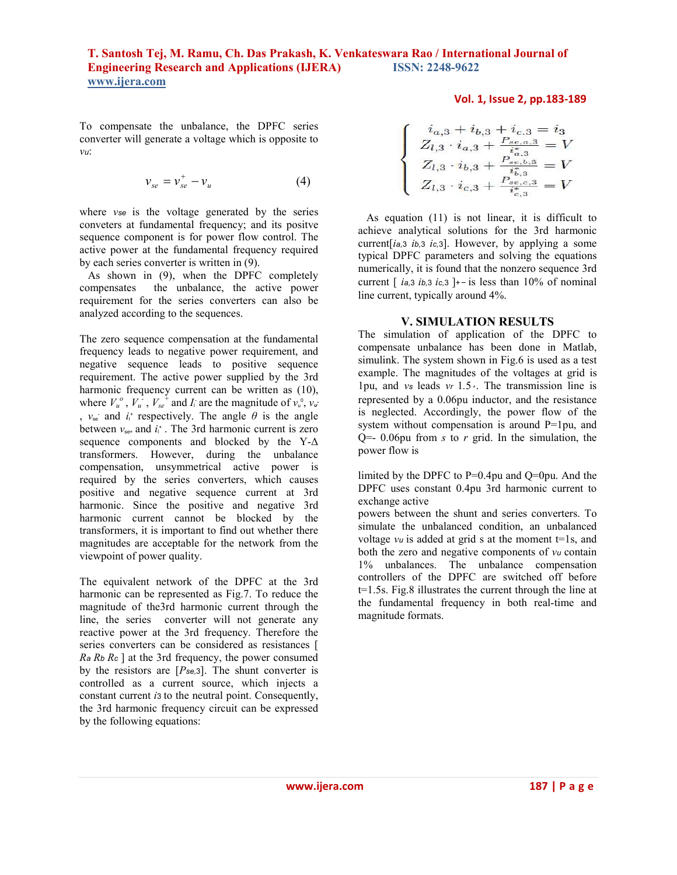To compensate the unbalance, the DPFC series converter will generate a voltage which is opposite to *vu*:

$$
\mathcal{V}_{se} = \mathcal{V}_{se}^{+} - \mathcal{V}_{u} \tag{4}
$$

where *vse* is the voltage generated by the series conveters at fundamental frequency; and its positve sequence component is for power flow control. The active power at the fundamental frequency required by each series converter is written in (9).

 As shown in (9), when the DPFC completely compensates the unbalance, the active power requirement for the series converters can also be analyzed according to the sequences.

The zero sequence compensation at the fundamental frequency leads to negative power requirement, and negative sequence leads to positive sequence requirement. The active power supplied by the 3rd harmonic frequency current can be written as (10), where  $V_u^o$ ,  $V_u^-$ ,  $V_{se}^+$  and  $I_i$  are the magnitude of  $v_u^o$ ,  $v_u^-$ ,  $v_{\rm se}$  and  $i_{\rm t}$  respectively. The angle  $\theta$  is the angle between  $v_{\text{se+}}$  and  $i_{\text{l}}$ <sup>+</sup>. The 3rd harmonic current is zero sequence components and blocked by the Y-∆ transformers. However, during the unbalance compensation, unsymmetrical active power is required by the series converters, which causes positive and negative sequence current at 3rd harmonic. Since the positive and negative 3rd harmonic current cannot be blocked by the transformers, it is important to find out whether there magnitudes are acceptable for the network from the viewpoint of power quality.

The equivalent network of the DPFC at the 3rd harmonic can be represented as Fig.7. To reduce the magnitude of the3rd harmonic current through the line, the series converter will not generate any reactive power at the 3rd frequency. Therefore the series converters can be considered as resistances [ *Ra Rb Rc* ] at the 3rd frequency, the power consumed by the resistors are [*Pse,*<sup>3</sup>]. The shunt converter is controlled as a current source, which injects a constant current *i*3 to the neutral point. Consequently, the 3rd harmonic frequency circuit can be expressed by the following equations:

## **Vol. 1, Issue 2, pp.183-189**

$$
\begin{cases}\ni_{a,3} + i_{b,3} + i_{c,3} = i_3 \\
Z_{l,3} \cdot i_{a,3} + \frac{P_{se,a,3}}{i_{a,3}^*} = V \\
Z_{l,3} \cdot i_{b,3} + \frac{P_{se,b,3}}{i_{b,3}^*} = V \\
Z_{l,3} \cdot i_{c,3} + \frac{P_{se,c,3}}{i_{c,3}^*} = V\n\end{cases}
$$

 As equation (11) is not linear, it is difficult to achieve analytical solutions for the 3rd harmonic current[*ia,*<sup>3</sup>*ib,*<sup>3</sup>*ic,*<sup>3</sup>]. However, by applying a some typical DPFC parameters and solving the equations numerically, it is found that the nonzero sequence 3rd current  $\int$  *i*<sub>a</sub>,3 *i*<sub>b</sub>, 3 *i*<sub>c</sub>, 3 ]<sup> $+$ </sup> - is less than 10% of nominal line current, typically around 4%.

## **V. SIMULATION RESULTS**

The simulation of application of the DPFC to compensate unbalance has been done in Matlab, simulink. The system shown in Fig.6 is used as a test example. The magnitudes of the voltages at grid is 1pu, and *vs* leads *vr* 1*.*5 . The transmission line is represented by a 0.06pu inductor, and the resistance is neglected. Accordingly, the power flow of the system without compensation is around P=1pu, and  $Q=-0.06$ pu from *s* to *r* grid. In the simulation, the power flow is

limited by the DPFC to P=0.4pu and Q=0pu. And the DPFC uses constant 0.4pu 3rd harmonic current to exchange active

powers between the shunt and series converters. To simulate the unbalanced condition, an unbalanced voltage  $vu$  is added at grid s at the moment  $t=1s$ , and both the zero and negative components of *vu* contain 1% unbalances. The unbalance compensation controllers of the DPFC are switched off before t=1.5s. Fig.8 illustrates the current through the line at the fundamental frequency in both real-time and magnitude formats.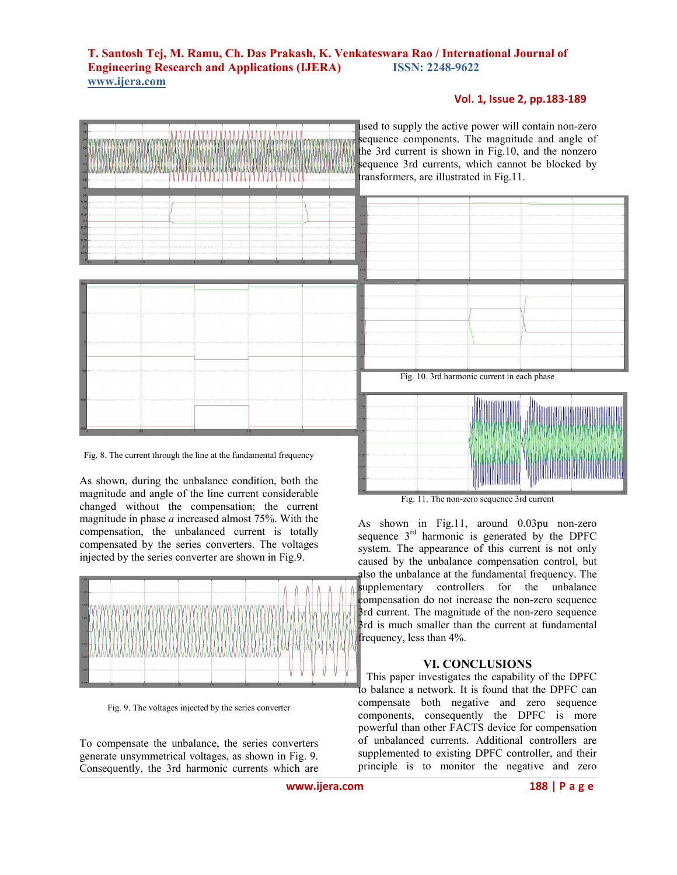## **Vol. 1, Issue 2, pp.183-189**



Fig. 8. The current through the line at the fundamental frequency

As shown, during the unbalance condition, both the magnitude and angle of the line current considerable changed without the compensation; the current magnitude in phase *a* increased almost 75%. With the compensation, the unbalanced current is totally compensated by the series converters. The voltages injected by the series converter are shown in Fig.9.



Fig. 9. The voltages injected by the series converter

To compensate the unbalance, the series converters generate unsymmetrical voltages, as shown in Fig. 9. Consequently, the 3rd harmonic currents which are

used to supply the active power will contain non-zero sequence components. The magnitude and angle of the 3rd current is shown in Fig.10, and the nonzero sequence 3rd currents, which cannot be blocked by transformers, are illustrated in Fig.11.



Fig. 11. The non-zero sequence 3rd current

As shown in Fig.11, around 0.03pu non-zero sequence  $3<sup>rd</sup>$  harmonic is generated by the DPFC system. The appearance of this current is not only caused by the unbalance compensation control, but also the unbalance at the fundamental frequency. The supplementary controllers for the unbalance compensation do not increase the non-zero sequence 3rd current. The magnitude of the non-zero sequence 3rd is much smaller than the current at fundamental frequency, less than 4%.

## **VI. CONCLUSIONS**

 This paper investigates the capability of the DPFC to balance a network. It is found that the DPFC can compensate both negative and zero sequence components, consequently the DPFC is more powerful than other FACTS device for compensation of unbalanced currents. Additional controllers are supplemented to existing DPFC controller, and their principle is to monitor the negative and zero

**www.ijera.com** 188 | P a g e